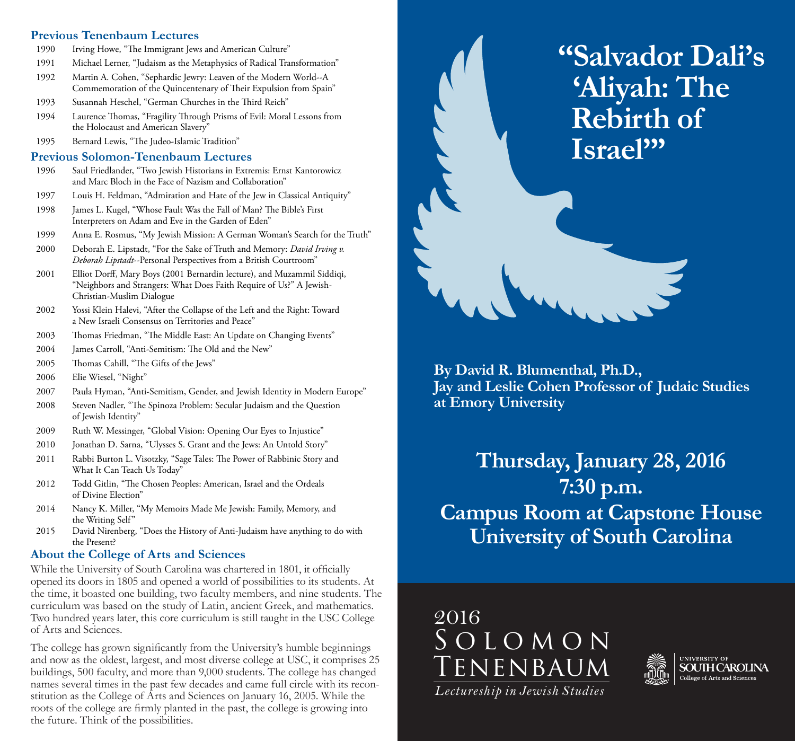### **Previous Tenenbaum Lectures**

- 1990 Irving Howe, "The Immigrant Jews and American Culture"
- 1991 Michael Lerner, "Judaism as the Metaphysics of Radical Transformation"
- 1992 Martin A. Cohen, "Sephardic Jewry: Leaven of the Modern World--A Commemoration of the Quincentenary of Their Expulsion from Spain"
- 1993 Susannah Heschel, "German Churches in the Third Reich"
- 1994 Laurence Thomas, "Fragility Through Prisms of Evil: Moral Lessons from the Holocaust and American Slavery"
- 1995 Bernard Lewis, "The Judeo-Islamic Tradition"

#### **Previous Solomon-Tenenbaum Lectures**

- 1996 Saul Friedlander, "Two Jewish Historians in Extremis: Ernst Kantorowicz and Marc Bloch in the Face of Nazism and Collaboration"
- 1997 Louis H. Feldman, "Admiration and Hate of the Jew in Classical Antiquity"
- 1998 James L. Kugel, "Whose Fault Was the Fall of Man? The Bible's First Interpreters on Adam and Eve in the Garden of Eden"
- 1999 Anna E. Rosmus, "My Jewish Mission: A German Woman's Search for the Truth"
- 2000 Deborah E. Lipstadt, "For the Sake of Truth and Memory: *David Irving v. Deborah Lipstadt*--Personal Perspectives from a British Courtroom"
- 2001 Elliot Dorff, Mary Boys (2001 Bernardin lecture), and Muzammil Siddiqi, "Neighbors and Strangers: What Does Faith Require of Us?" A Jewish- Christian-Muslim Dialogue
- 2002 Yossi Klein Halevi, "After the Collapse of the Left and the Right: Toward a New Israeli Consensus on Territories and Peace"
- 2003 Thomas Friedman, "The Middle East: An Update on Changing Events"
- 2004 James Carroll, "Anti-Semitism: The Old and the New"
- 2005 Thomas Cahill, "The Gifts of the Jews"
- 2006 Elie Wiesel, "Night"
- 2007 Paula Hyman, "Anti-Semitism, Gender, and Jewish Identity in Modern Europe"
- 2008 Steven Nadler, "The Spinoza Problem: Secular Judaism and the Question of Jewish Identity"
- 2009 Ruth W. Messinger, "Global Vision: Opening Our Eyes to Injustice"
- 2010 Jonathan D. Sarna, "Ulysses S. Grant and the Jews: An Untold Story"
- 2011 Rabbi Burton L. Visotzky, "Sage Tales: The Power of Rabbinic Story and What It Can Teach Us Today"
- 2012 Todd Gitlin, "The Chosen Peoples: American, Israel and the Ordeals of Divine Election"
- 2014 Nancy K. Miller, "My Memoirs Made Me Jewish: Family, Memory, and the Writing Self"
- 2015 David Nirenberg, "Does the History of Anti-Judaism have anything to do with the Present?

### **About the College of Arts and Sciences**

While the University of South Carolina was chartered in 1801, it officially opened its doors in 1805 and opened a world of possibilities to its students. At the time, it boasted one building, two faculty members, and nine students. The curriculum was based on the study of Latin, ancient Greek, and mathematics. Two hundred years later, this core curriculum is still taught in the USC College of Arts and Sciences.

The college has grown significantly from the University's humble beginnings and now as the oldest, largest, and most diverse college at USC, it comprises 25 buildings, 500 faculty, and more than 9,000 students. The college has changed names several times in the past few decades and came full circle with its reconstitution as the College of Arts and Sciences on January 16, 2005. While the roots of the college are firmly planted in the past, the college is growing into the future. Think of the possibilities.



**By David R. Blumenthal, Ph.D., Jay and Leslie Cohen Professor of Judaic Studies at Emory University**

**Thursday, January 28, 2016 7:30 p.m. Campus Room at Capstone House University of South Carolina**





*Lectureship in Jewish Studies*